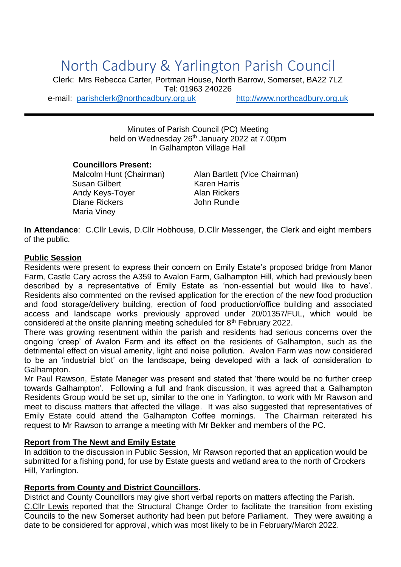# North Cadbury & Yarlington Parish Council

Clerk: Mrs Rebecca Carter, Portman House, North Barrow, Somerset, BA22 7LZ Tel: 01963 240226 e-mail: [parishclerk@northcadbury.org.uk](mailto:parishclerk@northcadbury.org.uk) [http://www.northcadbury.org.uk](http://www.northcadbury.org.uk/)

> Minutes of Parish Council (PC) Meeting held on Wednesday 26<sup>th</sup> January 2022 at 7.00pm In Galhampton Village Hall

#### **Councillors Present:**

Susan Gilbert Karen Harris Andy Keys-Toyer **Alan Rickers** Diane Rickers **John Rundle** Maria Viney

Malcolm Hunt (Chairman) Alan Bartlett (Vice Chairman)

**In Attendance**: C.Cllr Lewis, D.Cllr Hobhouse, D.Cllr Messenger, the Clerk and eight members of the public.

#### **Public Session**

Residents were present to express their concern on Emily Estate's proposed bridge from Manor Farm, Castle Cary across the A359 to Avalon Farm, Galhampton Hill, which had previously been described by a representative of Emily Estate as 'non-essential but would like to have'. Residents also commented on the revised application for the erection of the new food production and food storage/delivery building, erection of food production/office building and associated access and landscape works previously approved under 20/01357/FUL, which would be considered at the onsite planning meeting scheduled for 8th February 2022.

There was growing resentment within the parish and residents had serious concerns over the ongoing 'creep' of Avalon Farm and its effect on the residents of Galhampton, such as the detrimental effect on visual amenity, light and noise pollution. Avalon Farm was now considered to be an 'industrial blot' on the landscape, being developed with a lack of consideration to Galhampton.

Mr Paul Rawson, Estate Manager was present and stated that 'there would be no further creep towards Galhampton'. Following a full and frank discussion, it was agreed that a Galhampton Residents Group would be set up, similar to the one in Yarlington, to work with Mr Rawson and meet to discuss matters that affected the village. It was also suggested that representatives of Emily Estate could attend the Galhampton Coffee mornings. The Chairman reiterated his request to Mr Rawson to arrange a meeting with Mr Bekker and members of the PC.

### **Report from The Newt and Emily Estate**

In addition to the discussion in Public Session, Mr Rawson reported that an application would be submitted for a fishing pond, for use by Estate guests and wetland area to the north of Crockers Hill, Yarlington.

### **Reports from County and District Councillors.**

District and County Councillors may give short verbal reports on matters affecting the Parish. C.Cllr Lewis reported that the Structural Change Order to facilitate the transition from existing Councils to the new Somerset authority had been put before Parliament. They were awaiting a date to be considered for approval, which was most likely to be in February/March 2022.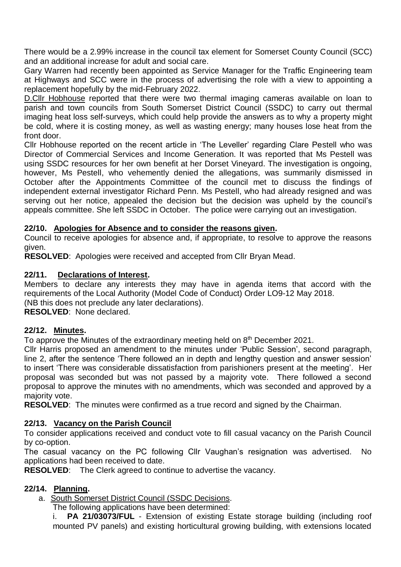There would be a 2.99% increase in the council tax element for Somerset County Council (SCC) and an additional increase for adult and social care.

Gary Warren had recently been appointed as Service Manager for the Traffic Engineering team at Highways and SCC were in the process of advertising the role with a view to appointing a replacement hopefully by the mid-February 2022.

D.Cllr Hobhouse reported that there were two thermal imaging cameras available on loan to parish and town councils from South Somerset District Council (SSDC) to carry out thermal imaging heat loss self-surveys, which could help provide the answers as to why a property might be cold, where it is costing money, as well as wasting energy; many houses lose heat from the front door.

Cllr Hobhouse reported on the recent article in 'The Leveller' regarding Clare Pestell who was Director of Commercial Services and Income Generation. It was reported that Ms Pestell was using SSDC resources for her own benefit at her Dorset Vineyard. The investigation is ongoing, however, Ms Pestell, who vehemently denied the allegations, was summarily dismissed in October after the Appointments Committee of the council met to discuss the findings of independent external investigator Richard Penn. Ms Pestell, who had already resigned and was serving out her notice, appealed the decision but the decision was upheld by the council's appeals committee. She left SSDC in October. The police were carrying out an investigation.

# **22/10. Apologies for Absence and to consider the reasons given.**

Council to receive apologies for absence and, if appropriate, to resolve to approve the reasons given.

**RESOLVED**: Apologies were received and accepted from Cllr Bryan Mead.

# **22/11. Declarations of Interest.**

Members to declare any interests they may have in agenda items that accord with the requirements of the Local Authority (Model Code of Conduct) Order LO9-12 May 2018. (NB this does not preclude any later declarations).

**RESOLVED**: None declared.

### **22/12. Minutes.**

To approve the Minutes of the extraordinary meeting held on 8<sup>th</sup> December 2021.

Cllr Harris proposed an amendment to the minutes under 'Public Session', second paragraph, line 2, after the sentence 'There followed an in depth and lengthy question and answer session' to insert 'There was considerable dissatisfaction from parishioners present at the meeting'. Her proposal was seconded but was not passed by a majority vote. There followed a second proposal to approve the minutes with no amendments, which was seconded and approved by a majority vote.

**RESOLVED**: The minutes were confirmed as a true record and signed by the Chairman.

# **22/13. Vacancy on the Parish Council**

To consider applications received and conduct vote to fill casual vacancy on the Parish Council by co-option.

The casual vacancy on the PC following Cllr Vaughan's resignation was advertised. No applications had been received to date.

**RESOLVED:** The Clerk agreed to continue to advertise the vacancy.

# **22/14. Planning.**

a. South Somerset District Council (SSDC Decisions.

The following applications have been determined:

i. **PA 21/03073/FUL** - Extension of existing Estate storage building (including roof mounted PV panels) and existing horticultural growing building, with extensions located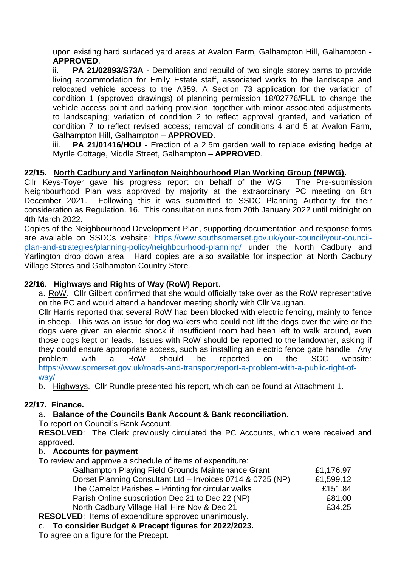upon existing hard surfaced yard areas at Avalon Farm, Galhampton Hill, Galhampton - **APPROVED**.

ii. **PA 21/02893/S73A** - Demolition and rebuild of two single storey barns to provide living accommodation for Emily Estate staff, associated works to the landscape and relocated vehicle access to the A359. A Section 73 application for the variation of condition 1 (approved drawings) of planning permission 18/02776/FUL to change the vehicle access point and parking provision, together with minor associated adjustments to landscaping; variation of condition 2 to reflect approval granted, and variation of condition 7 to reflect revised access; removal of conditions 4 and 5 at Avalon Farm, Galhampton Hill, Galhampton – **APPROVED**.

iii. **PA 21/01416/HOU** - Erection of a 2.5m garden wall to replace existing hedge at Myrtle Cottage, Middle Street, Galhampton – **APPROVED**.

# **22/15. North Cadbury and Yarlington Neighbourhood Plan Working Group (NPWG).**

Cllr Keys-Toyer gave his progress report on behalf of the WG. The Pre-submission Neighbourhood Plan was approved by majority at the extraordinary PC meeting on 8th December 2021. Following this it was submitted to SSDC Planning Authority for their consideration as Regulation. 16. This consultation runs from 20th January 2022 until midnight on 4th March 2022.

Copies of the Neighbourhood Development Plan, supporting documentation and response forms are available on SSDCs website: [https://www.southsomerset.gov.uk/your-council/your-council](https://www.southsomerset.gov.uk/your-council/your-council-plan-and-strategies/planning-policy/neighbourhood-planning/)[plan-and-strategies/planning-policy/neighbourhood-planning/](https://www.southsomerset.gov.uk/your-council/your-council-plan-and-strategies/planning-policy/neighbourhood-planning/) under the North Cadbury and Yarlington drop down area. Hard copies are also available for inspection at North Cadbury Village Stores and Galhampton Country Store.

## **22/16. Highways and Rights of Way (RoW) Report.**

a. RoW. Cllr Gilbert confirmed that she would officially take over as the RoW representative on the PC and would attend a handover meeting shortly with Cllr Vaughan.

Cllr Harris reported that several RoW had been blocked with electric fencing, mainly to fence in sheep. This was an issue for dog walkers who could not lift the dogs over the wire or the dogs were given an electric shock if insufficient room had been left to walk around, even those dogs kept on leads. Issues with RoW should be reported to the landowner, asking if they could ensure appropriate access, such as installing an electric fence gate handle. Any problem with a RoW should be reported on the SCC website: [https://www.somerset.gov.uk/roads-and-transport/report-a-problem-with-a-public-right-of](https://www.somerset.gov.uk/roads-and-transport/report-a-problem-with-a-public-right-of-way/)[way/](https://www.somerset.gov.uk/roads-and-transport/report-a-problem-with-a-public-right-of-way/)

b. Highways. Cllr Rundle presented his report, which can be found at Attachment 1.

# **22/17. Finance.**

# a. **Balance of the Councils Bank Account & Bank reconciliation**.

To report on Council's Bank Account.

**RESOLVED**: The Clerk previously circulated the PC Accounts, which were received and approved.

### b. **Accounts for payment**

To review and approve a schedule of items of expenditure:

| <b>Galhampton Playing Field Grounds Maintenance Grant</b>  | £1,176.97 |
|------------------------------------------------------------|-----------|
| Dorset Planning Consultant Ltd - Invoices 0714 & 0725 (NP) | £1,599.12 |
| The Camelot Parishes - Printing for circular walks         | £151.84   |
| Parish Online subscription Dec 21 to Dec 22 (NP)           | £81.00    |
| North Cadbury Village Hall Hire Nov & Dec 21               | £34.25    |
| VED, Hama of overanditure approved uponimously             |           |

**RESOLVED**: Items of expenditure approved unanimously.

# c. **To consider Budget & Precept figures for 2022/2023.**

To agree on a figure for the Precept.